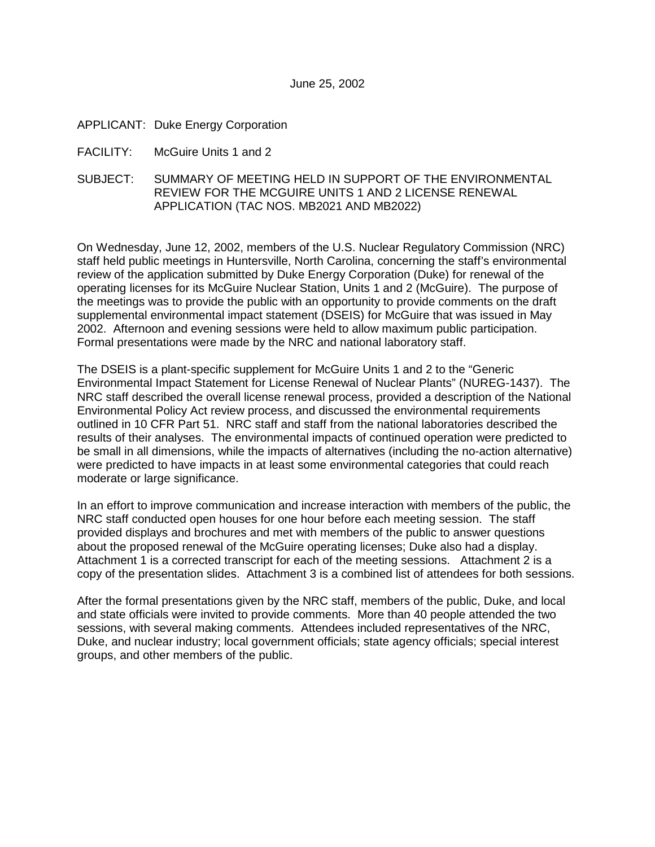### APPLICANT: Duke Energy Corporation

- FACILITY: McGuire Units 1 and 2
- SUBJECT: SUMMARY OF MEETING HELD IN SUPPORT OF THE ENVIRONMENTAL REVIEW FOR THE MCGUIRE UNITS 1 AND 2 LICENSE RENEWAL APPLICATION (TAC NOS. MB2021 AND MB2022)

On Wednesday, June 12, 2002, members of the U.S. Nuclear Regulatory Commission (NRC) staff held public meetings in Huntersville, North Carolina, concerning the staff's environmental review of the application submitted by Duke Energy Corporation (Duke) for renewal of the operating licenses for its McGuire Nuclear Station, Units 1 and 2 (McGuire). The purpose of the meetings was to provide the public with an opportunity to provide comments on the draft supplemental environmental impact statement (DSEIS) for McGuire that was issued in May 2002. Afternoon and evening sessions were held to allow maximum public participation. Formal presentations were made by the NRC and national laboratory staff.

The DSEIS is a plant-specific supplement for McGuire Units 1 and 2 to the "Generic Environmental Impact Statement for License Renewal of Nuclear Plants" (NUREG-1437). The NRC staff described the overall license renewal process, provided a description of the National Environmental Policy Act review process, and discussed the environmental requirements outlined in 10 CFR Part 51. NRC staff and staff from the national laboratories described the results of their analyses. The environmental impacts of continued operation were predicted to be small in all dimensions, while the impacts of alternatives (including the no-action alternative) were predicted to have impacts in at least some environmental categories that could reach moderate or large significance.

In an effort to improve communication and increase interaction with members of the public, the NRC staff conducted open houses for one hour before each meeting session. The staff provided displays and brochures and met with members of the public to answer questions about the proposed renewal of the McGuire operating licenses; Duke also had a display. Attachment 1 is a corrected transcript for each of the meeting sessions. Attachment 2 is a copy of the presentation slides. Attachment 3 is a combined list of attendees for both sessions.

After the formal presentations given by the NRC staff, members of the public, Duke, and local and state officials were invited to provide comments. More than 40 people attended the two sessions, with several making comments. Attendees included representatives of the NRC, Duke, and nuclear industry; local government officials; state agency officials; special interest groups, and other members of the public.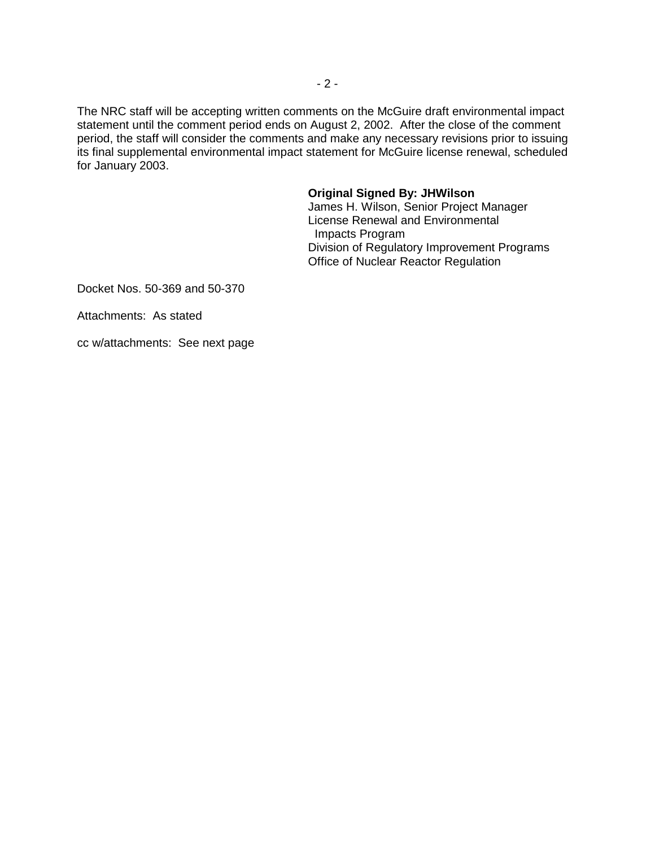The NRC staff will be accepting written comments on the McGuire draft environmental impact statement until the comment period ends on August 2, 2002. After the close of the comment period, the staff will consider the comments and make any necessary revisions prior to issuing its final supplemental environmental impact statement for McGuire license renewal, scheduled for January 2003.

## **Original Signed By: JHWilson**

James H. Wilson, Senior Project Manager License Renewal and Environmental Impacts Program Division of Regulatory Improvement Programs Office of Nuclear Reactor Regulation

Docket Nos. 50-369 and 50-370

Attachments: As stated

cc w/attachments: See next page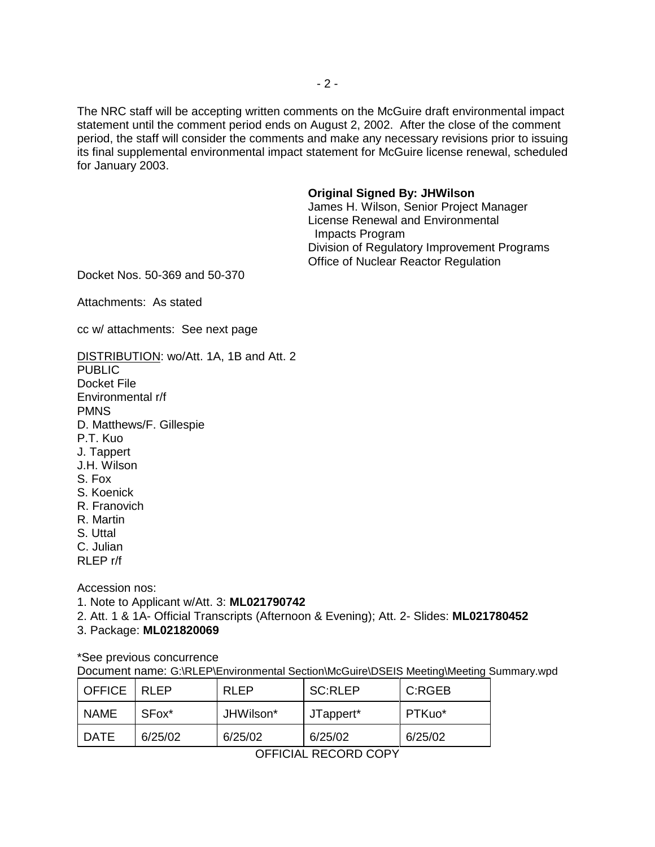The NRC staff will be accepting written comments on the McGuire draft environmental impact statement until the comment period ends on August 2, 2002. After the close of the comment period, the staff will consider the comments and make any necessary revisions prior to issuing its final supplemental environmental impact statement for McGuire license renewal, scheduled for January 2003.

#### **Original Signed By: JHWilson**

James H. Wilson, Senior Project Manager License Renewal and Environmental Impacts Program Division of Regulatory Improvement Programs Office of Nuclear Reactor Regulation

Docket Nos. 50-369 and 50-370

Attachments: As stated

cc w/ attachments: See next page

DISTRIBUTION: wo/Att. 1A, 1B and Att. 2 **PUBLIC** Docket File Environmental r/f PMNS D. Matthews/F. Gillespie P.T. Kuo J. Tappert J.H. Wilson S. Fox S. Koenick R. Franovich R. Martin S. Uttal C. Julian RLEP r/f

Accession nos:

1. Note to Applicant w/Att. 3: **ML021790742**

2. Att. 1 & 1A- Official Transcripts (Afternoon & Evening); Att. 2- Slides: **ML021780452**

3. Package: **ML021820069**

\*See previous concurrence

Document name: G:\RLEP\Environmental Section\McGuire\DSEIS Meeting\Meeting Summary.wpd

| ----            |                   |           |                |         |
|-----------------|-------------------|-----------|----------------|---------|
| DATE            | 6/25/02           | 6/25/02   | 6/25/02        | 6/25/02 |
| <b>NAME</b>     | SFox <sup>*</sup> | JHWilson* | JTappert*      | PTKuo*  |
| I OFFICE I RLEP |                   | RI FP     | <b>SC:RLEP</b> | C:RGEB  |

OFFICIAL RECORD COPY